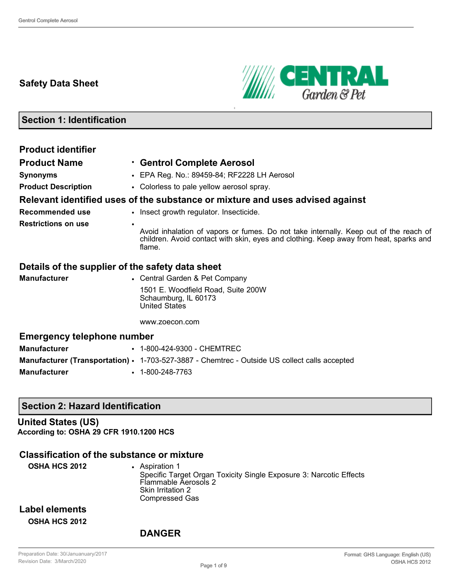### **Safety Data Sheet**



## **Section 1: Identification**

| <b>Product identifier</b>                        |                                                                                                                                                                                                       |
|--------------------------------------------------|-------------------------------------------------------------------------------------------------------------------------------------------------------------------------------------------------------|
| <b>Product Name</b>                              | <b>Centrol Complete Aerosol</b>                                                                                                                                                                       |
| <b>Synonyms</b>                                  | • EPA Reg. No.: 89459-84; RF2228 LH Aerosol                                                                                                                                                           |
| <b>Product Description</b>                       | • Colorless to pale yellow aerosol spray.                                                                                                                                                             |
|                                                  | Relevant identified uses of the substance or mixture and uses advised against                                                                                                                         |
| <b>Recommended use</b>                           | • Insect growth regulator. Insecticide.                                                                                                                                                               |
| <b>Restrictions on use</b>                       | $\bullet$<br>Avoid inhalation of vapors or fumes. Do not take internally. Keep out of the reach of<br>children. Avoid contact with skin, eyes and clothing. Keep away from heat, sparks and<br>flame. |
| Details of the supplier of the safety data sheet |                                                                                                                                                                                                       |
| <b>Manufacturer</b>                              | • Central Garden & Pet Company                                                                                                                                                                        |
|                                                  | 1501 E. Woodfield Road, Suite 200W<br>Schaumburg, IL 60173<br><b>United States</b>                                                                                                                    |
|                                                  | www.zoecon.com                                                                                                                                                                                        |
| <b>Emergency telephone number</b>                |                                                                                                                                                                                                       |
| <b>Manufacturer</b>                              | • 1-800-424-9300 - CHEMTREC                                                                                                                                                                           |
|                                                  | <b>Manufacturer (Transportation) · 1-703-527-3887 - Chemtrec - Outside US collect calls accepted</b>                                                                                                  |
| <b>Manufacturer</b>                              | $\cdot$ 1-800-248-7763                                                                                                                                                                                |

#### **Section 2: Hazard Identification**

#### **United States (US) According to: OSHA 29 CFR 1910.1200 HCS**

### **Classification of the substance or mixture**

| <b>OSHA HCS 2012</b>                   | Aspiration 1<br>Specific Target Organ Toxicity Single Exposure 3: Narcotic Effects<br>Flammable Aerosols 2<br>Skin Irritation 2<br>Compressed Gas |
|----------------------------------------|---------------------------------------------------------------------------------------------------------------------------------------------------|
| Label elements<br><b>OSHA HCS 2012</b> |                                                                                                                                                   |

### **DANGER**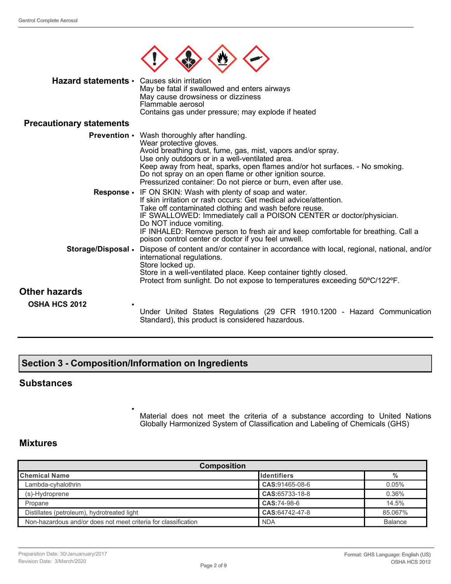

| Hazard statements • Causes skin irritation | May be fatal if swallowed and enters airways<br>May cause drowsiness or dizziness<br>Flammable aerosol<br>Contains gas under pressure; may explode if heated |
|--------------------------------------------|--------------------------------------------------------------------------------------------------------------------------------------------------------------|
| <b>Precautionary statements</b>            |                                                                                                                                                              |
|                                            | <b>Prevention •</b> Wash thoroughly after handling.<br>Wear protective gloves.<br>Avoid breathing dust, fume, gas, mist, vapors and/or spray.                |

Use only outdoors or in a well-ventilated area.

Do not spray on an open flame or other ignition source. Pressurized container: Do not pierce or burn, even after use. **Response** • IF ON SKIN: Wash with plenty of soap and water. If skin irritation or rash occurs: Get medical advice/attention. Take off contaminated clothing and wash before reuse. IF SWALLOWED: Immediately call a POISON CENTER or doctor/physician. Do NOT induce vomiting. IF INHALED: Remove person to fresh air and keep comfortable for breathing. Call a poison control center or doctor if you feel unwell. **Storage/Disposal** • Dispose of content and/or container in accordance with local, regional, national, and/or international regulations. Store locked up. Store in a well-ventilated place. Keep container tightly closed. Protect from sunlight. Do not expose to temperatures exceeding 50ºC/122ºF.

Keep away from heat, sparks, open flames and/or hot surfaces. - No smoking.

## **Other hazards**

**OSHA HCS 2012** •

Under United States Regulations (29 CFR 1910.1200 - Hazard Communication Standard), this product is considered hazardous.

### **Section 3 - Composition/Information on Ingredients**

•

#### **Substances**

Material does not meet the criteria of a substance according to United Nations Globally Harmonized System of Classification and Labeling of Chemicals (GHS)

#### **Mixtures**

| <b>Composition</b>                                             |                    |                |  |
|----------------------------------------------------------------|--------------------|----------------|--|
| <b>Chemical Name</b>                                           | <b>Identifiers</b> | $\frac{0}{0}$  |  |
| Lambda-cyhalothrin                                             | CAS:91465-08-6     | 0.05%          |  |
| (s)-Hydroprene                                                 | CAS:65733-18-8     | 0.36%          |  |
| Propane                                                        | CAS:74-98-6        | 14.5%          |  |
| Distillates (petroleum), hydrotreated light                    | CAS:64742-47-8     | 85.067%        |  |
| Non-hazardous and/or does not meet criteria for classification | <b>NDA</b>         | <b>Balance</b> |  |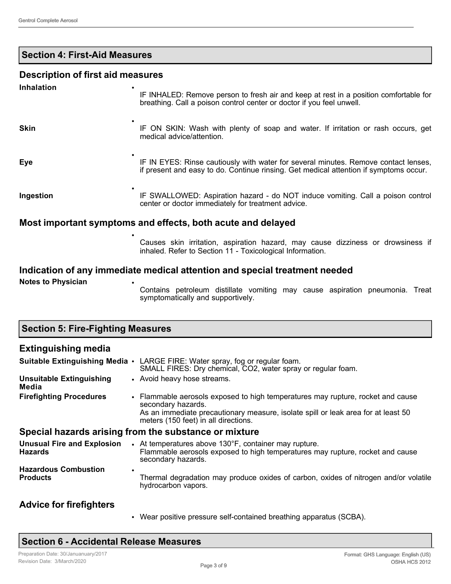### **Section 4: First-Aid Measures**

#### **Description of first aid measures**

| <b>Inhalation</b> | IF INHALED: Remove person to fresh air and keep at rest in a position comfortable for<br>breathing. Call a poison control center or doctor if you feel unwell.               |
|-------------------|------------------------------------------------------------------------------------------------------------------------------------------------------------------------------|
| <b>Skin</b>       | IF ON SKIN: Wash with plenty of soap and water. If irritation or rash occurs, get<br>medical advice/attention.                                                               |
| <b>Eye</b>        | IF IN EYES: Rinse cautiously with water for several minutes. Remove contact lenses,<br>if present and easy to do. Continue rinsing. Get medical attention if symptoms occur. |
| Ingestion         | IF SWALLOWED: Aspiration hazard - do NOT induce vomiting. Call a poison control<br>center or doctor immediately for treatment advice.                                        |
|                   | Most important symptoms and effects, both acute and delayed                                                                                                                  |
|                   | Causes skin irritation, aspiration hazard, may cause dizziness or drowsiness if                                                                                              |

inhaled. Refer to Section 11 - Toxicological Information.

## **Indication of any immediate medical attention and special treatment needed**

**Notes to Physician** 

**Section 5: Fire-Fighting Measures**

Contains petroleum distillate vomiting may cause aspiration pneumonia. Treat symptomatically and supportively.

| <b>Extinguishing media</b>                          |                                                                                                                                                              |
|-----------------------------------------------------|--------------------------------------------------------------------------------------------------------------------------------------------------------------|
|                                                     | Suitable Extinguishing Media • LARGE FIRE: Water spray, fog or regular foam.<br>SMALL FIRES: Dry chemical, CO2, water spray or regular foam.                 |
| <b>Unsuitable Extinguishing</b><br>Media            | • Avoid heavy hose streams.                                                                                                                                  |
| <b>Firefighting Procedures</b>                      | • Flammable aerosols exposed to high temperatures may rupture, rocket and cause<br>secondary hazards.                                                        |
|                                                     | As an immediate precautionary measure, isolate spill or leak area for at least 50<br>meters (150 feet) in all directions.                                    |
|                                                     | Special hazards arising from the substance or mixture                                                                                                        |
| <b>Unusual Fire and Explosion</b><br><b>Hazards</b> | • At temperatures above 130°F, container may rupture.<br>Flammable aerosols exposed to high temperatures may rupture, rocket and cause<br>secondary hazards. |
| <b>Hazardous Combustion</b><br><b>Products</b>      | Thermal degradation may produce oxides of carbon, oxides of nitrogen and/or volatile<br>hydrocarbon vapors.                                                  |
| <b>Advice for firefighters</b>                      |                                                                                                                                                              |

• Wear positive pressure self-contained breathing apparatus (SCBA).

### **Section 6 - Accidental Release Measures**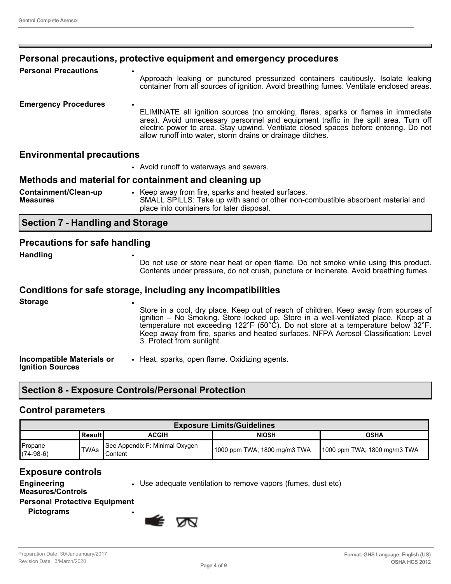#### **Personal precautions, protective equipment and emergency procedures**

| <b>Personal Precautions</b> | Approach leaking or punctured pressurized containers cautiously. Isolate leaking<br>container from all sources of ignition. Avoid breathing fumes. Ventilate enclosed areas.                                                                                                                                                                 |
|-----------------------------|----------------------------------------------------------------------------------------------------------------------------------------------------------------------------------------------------------------------------------------------------------------------------------------------------------------------------------------------|
| <b>Emergency Procedures</b> | $\bullet$<br>ELIMINATE all ignition sources (no smoking, flares, sparks or flames in immediate<br>area). Avoid unnecessary personnel and equipment traffic in the spill area. Turn off<br>electric power to area. Stay upwind. Ventilate closed spaces before entering. Do not<br>allow runoff into water, storm drains or drainage ditches. |

#### **Environmental precautions**

|  |  |  |  |  | • Avoid runoff to waterways and sewers. |  |  |
|--|--|--|--|--|-----------------------------------------|--|--|
|--|--|--|--|--|-----------------------------------------|--|--|

### **Methods and material for containment and cleaning up**

| Containment/Clean-up<br><b>Measures</b> |  | Keep away from fire, sparks and heated surfaces.<br>SMALL SPILLS: Take up with sand or other non-combustible absorbent material and<br>place into containers for later disposal. |
|-----------------------------------------|--|----------------------------------------------------------------------------------------------------------------------------------------------------------------------------------|
|-----------------------------------------|--|----------------------------------------------------------------------------------------------------------------------------------------------------------------------------------|

### **Section 7 - Handling and Storage**

#### **Precautions for safe handling**

**Handling** •

Do not use or store near heat or open flame. Do not smoke while using this product. Contents under pressure, do not crush, puncture or incinerate. Avoid breathing fumes.

#### **Conditions for safe storage, including any incompatibilities**

| <b>Storage</b>                                              | ٠<br>Store in a cool, dry place. Keep out of reach of children. Keep away from sources of<br>ignition – No Smoking. Store locked up. Store in a well-ventilated place. Keep at a<br>temperature not exceeding $122^{\circ}F$ (50°C). Do not store at a temperature below 32°F.<br>Keep away from fire, sparks and heated surfaces. NFPA Aerosol Classification: Level<br>3. Protect from sunlight. |
|-------------------------------------------------------------|----------------------------------------------------------------------------------------------------------------------------------------------------------------------------------------------------------------------------------------------------------------------------------------------------------------------------------------------------------------------------------------------------|
| <b>Incompatible Materials or</b><br><b>Ignition Sources</b> | • Heat, sparks, open flame. Oxidizing agents.                                                                                                                                                                                                                                                                                                                                                      |

### **Section 8 - Exposure Controls/Personal Protection**

#### **Control parameters**

| <b>Exposure Limits/Guidelines</b> |           |                                                    |                              |                               |
|-----------------------------------|-----------|----------------------------------------------------|------------------------------|-------------------------------|
|                                   | lResult I | <b>ACGIH</b>                                       | <b>NIOSH</b>                 | <b>OSHA</b>                   |
| Propane<br>$(74-98-6)$            | 'TWAs     | See Appendix F: Minimal Oxygen<br><b>I</b> Content | 1000 ppm TWA; 1800 mg/m3 TWA | ∥1000 ppm TWA; 1800 mg/m3 TWA |

### **Exposure controls**

**Engineering** 

• Use adequate ventilation to remove vapors (fumes, dust etc)

**Measures/Controls Personal Protective Equipment**

**Pictograms** •

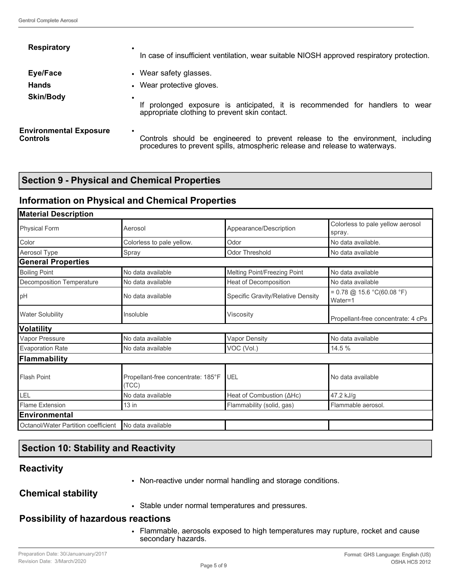| <b>Respiratory</b>                        | ٠<br>In case of insufficient ventilation, wear suitable NIOSH approved respiratory protection.                                                                             |
|-------------------------------------------|----------------------------------------------------------------------------------------------------------------------------------------------------------------------------|
| Eye/Face                                  | • Wear safety glasses.                                                                                                                                                     |
| <b>Hands</b>                              | • Wear protective gloves.                                                                                                                                                  |
| <b>Skin/Body</b>                          | $\bullet$<br>If prolonged exposure is anticipated, it is recommended for handlers to<br>wear<br>appropriate clothing to prevent skin contact.                              |
| <b>Environmental Exposure</b><br>Controls | $\bullet$<br>Controls should be engineered to prevent release to the environment, including<br>procedures to prevent spills, atmospheric release and release to waterways. |

### **Section 9 - Physical and Chemical Properties**

### **Information on Physical and Chemical Properties**

| <b>Material Description</b>                                       |                           |                                   |                                                                   |  |
|-------------------------------------------------------------------|---------------------------|-----------------------------------|-------------------------------------------------------------------|--|
| <b>Physical Form</b><br>Aerosol                                   |                           | Appearance/Description            | Colorless to pale yellow aerosol<br>spray.                        |  |
| Color                                                             | Colorless to pale yellow. | Odor                              | No data available.                                                |  |
| Aerosol Type                                                      | Spray                     | <b>Odor Threshold</b>             | No data available                                                 |  |
| <b>General Properties</b>                                         |                           |                                   |                                                                   |  |
| <b>Boiling Point</b>                                              | No data available         | Melting Point/Freezing Point      | No data available                                                 |  |
| Decomposition Temperature                                         | No data available         | <b>Heat of Decomposition</b>      | No data available                                                 |  |
| pH                                                                | No data available         | Specific Gravity/Relative Density | $= 0.78 \text{ @ } 15.6 \text{ °C} (60.08 \text{ °F})$<br>Water=1 |  |
| <b>Water Solubility</b><br>Insoluble                              |                           | Viscositv                         | Propellant-free concentrate: 4 cPs                                |  |
| <b>Volatility</b>                                                 |                           |                                   |                                                                   |  |
| Vapor Pressure                                                    | No data available         | <b>Vapor Density</b>              | No data available                                                 |  |
| <b>Evaporation Rate</b><br>No data available                      |                           | VOC (Vol.)                        | 14.5 %                                                            |  |
| Flammability                                                      |                           |                                   |                                                                   |  |
| <b>Flash Point</b><br>Propellant-free concentrate: 185°F<br>(TCC) |                           | UEL                               | No data available                                                 |  |
| LEL                                                               | No data available         | Heat of Combustion (AHc)          | 47.2 kJ/g                                                         |  |
| <b>Flame Extension</b>                                            | $13$ in                   | Flammability (solid, gas)         | Flammable aerosol.                                                |  |
| <b>Environmental</b>                                              |                           |                                   |                                                                   |  |
| Octanol/Water Partition coefficient                               | No data available         |                                   |                                                                   |  |
|                                                                   |                           |                                   |                                                                   |  |

### **Section 10: Stability and Reactivity**

### **Reactivity**

• Non-reactive under normal handling and storage conditions.

### **Chemical stability**

• Stable under normal temperatures and pressures.

#### **Possibility of hazardous reactions**

• Flammable, aerosols exposed to high temperatures may rupture, rocket and cause secondary hazards.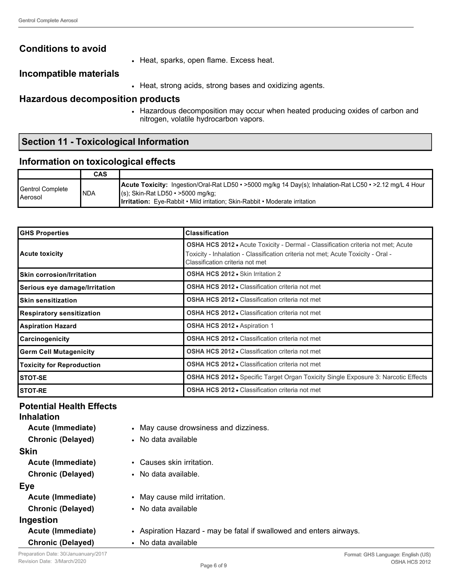### **Conditions to avoid**

• Heat, sparks, open flame. Excess heat.

### **Incompatible materials**

• Heat, strong acids, strong bases and oxidizing agents.

## **Hazardous decomposition products**

• Hazardous decomposition may occur when heated producing oxides of carbon and nitrogen, volatile hydrocarbon vapors.

## **Section 11 - Toxicological Information**

### **Information on toxicological effects**

|                                    | CAS        |                                                                                                                                                                                                                                                    |
|------------------------------------|------------|----------------------------------------------------------------------------------------------------------------------------------------------------------------------------------------------------------------------------------------------------|
| Gentrol Complete<br><b>Aerosol</b> | <b>NDA</b> | <b>Acute Toxicity:</b> Ingestion/Oral-Rat LD50 • >5000 mg/kg 14 Day(s); Inhalation-Rat LC50 • >2.12 mg/L 4 Hour<br>$\mid$ (s); Skin-Rat LD50 • >5000 mg/kg;<br><b>Ilrritation:</b> Eye-Rabbit • Mild irritation: Skin-Rabbit • Moderate irritation |

| <b>GHS Properties</b>                                                                      | <b>Classification</b><br><b>OSHA HCS 2012 •</b> Acute Toxicity - Dermal - Classification criteria not met; Acute<br>Toxicity - Inhalation - Classification criteria not met; Acute Toxicity - Oral -<br>Classification criteria not met |  |
|--------------------------------------------------------------------------------------------|-----------------------------------------------------------------------------------------------------------------------------------------------------------------------------------------------------------------------------------------|--|
| <b>Acute toxicity</b>                                                                      |                                                                                                                                                                                                                                         |  |
| <b>OSHA HCS 2012 •</b> Skin Irritation 2<br><b>Skin corrosion/Irritation</b>               |                                                                                                                                                                                                                                         |  |
| <b>OSHA HCS 2012 • Classification criteria not met</b><br>Serious eye damage/Irritation    |                                                                                                                                                                                                                                         |  |
| <b>Skin sensitization</b>                                                                  | <b>OSHA HCS 2012 • Classification criteria not met</b>                                                                                                                                                                                  |  |
| <b>OSHA HCS 2012 • Classification criteria not met</b><br><b>Respiratory sensitization</b> |                                                                                                                                                                                                                                         |  |
| OSHA HCS 2012 • Aspiration 1<br><b>Aspiration Hazard</b>                                   |                                                                                                                                                                                                                                         |  |
| <b>OSHA HCS 2012 • Classification criteria not met</b><br>Carcinogenicity                  |                                                                                                                                                                                                                                         |  |
| <b>Germ Cell Mutagenicity</b>                                                              | <b>OSHA HCS 2012 • Classification criteria not met</b>                                                                                                                                                                                  |  |
| <b>Toxicity for Reproduction</b>                                                           | <b>OSHA HCS 2012 • Classification criteria not met</b>                                                                                                                                                                                  |  |
| <b>STOT-SE</b>                                                                             | <b>OSHA HCS 2012 •</b> Specific Target Organ Toxicity Single Exposure 3: Narcotic Effects                                                                                                                                               |  |
| <b>STOT-RE</b>                                                                             | <b>OSHA HCS 2012 • Classification criteria not met</b>                                                                                                                                                                                  |  |

## **Potential Health Effects**

| <b>Inhalation</b>        |                                                                     |  |  |
|--------------------------|---------------------------------------------------------------------|--|--|
| Acute (Immediate)        | • May cause drowsiness and dizziness.                               |  |  |
| <b>Chronic (Delayed)</b> | • No data available                                                 |  |  |
| <b>Skin</b>              |                                                                     |  |  |
| Acute (Immediate)        | • Causes skin irritation.                                           |  |  |
| <b>Chronic (Delayed)</b> | • No data available.                                                |  |  |
| <b>Eye</b>               |                                                                     |  |  |
| Acute (Immediate)        | • May cause mild irritation.                                        |  |  |
| <b>Chronic (Delayed)</b> | • No data available                                                 |  |  |
| Ingestion                |                                                                     |  |  |
| Acute (Immediate)        | • Aspiration Hazard - may be fatal if swallowed and enters airways. |  |  |
| <b>Chronic (Delayed)</b> | • No data available                                                 |  |  |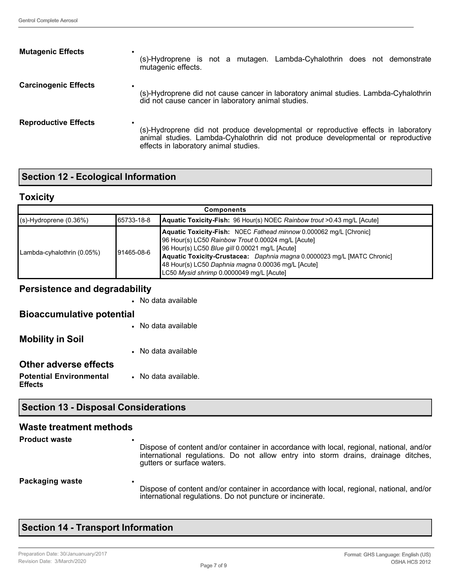| <b>Mutagenic Effects</b>    | (s)-Hydroprene is not a mutagen. Lambda-Cyhalothrin does not demonstrate                                                                                                                                        |  |
|-----------------------------|-----------------------------------------------------------------------------------------------------------------------------------------------------------------------------------------------------------------|--|
| ٠                           | mutagenic effects.                                                                                                                                                                                              |  |
| <b>Carcinogenic Effects</b> | (s)-Hydroprene did not cause cancer in laboratory animal studies. Lambda-Cyhalothrin                                                                                                                            |  |
| ٠                           | did not cause cancer in laboratory animal studies.                                                                                                                                                              |  |
| <b>Reproductive Effects</b> | (s)-Hydroprene did not produce developmental or reproductive effects in laboratory<br>animal studies. Lambda-Cyhalothrin did not produce developmental or reproductive<br>effects in laboratory animal studies. |  |

# **Section 12 - Ecological Information**

## **Toxicity**

| <b>Components</b>           |             |                                                                                                                                                                                                                                                                                                                                                         |  |
|-----------------------------|-------------|---------------------------------------------------------------------------------------------------------------------------------------------------------------------------------------------------------------------------------------------------------------------------------------------------------------------------------------------------------|--|
| $(s)$ -Hydroprene $(0.36%)$ | Ⅰ65733-18-8 | <b>Aquatic Toxicity-Fish:</b> 96 Hour(s) NOEC Rainbow trout >0.43 mg/L [Acute]                                                                                                                                                                                                                                                                          |  |
| Lambda-cyhalothrin (0.05%)  | Ⅰ91465-08-6 | Aquatic Toxicity-Fish: NOEC Fathead minnow 0.000062 mg/L [Chronic]<br>96 Hour(s) LC50 Rainbow Trout 0.00024 mg/L [Acute]<br>96 Hour(s) LC50 Blue gill 0.00021 mg/L [Acute]<br>Aquatic Toxicity-Crustacea: Daphnia magna 0.0000023 mg/L [MATC Chronic]<br>48 Hour(s) LC50 Daphnia magna 0.00036 mg/L [Acute]<br>LC50 Mysid shrimp 0.0000049 mg/L [Acute] |  |

### **Persistence and degradability**

|                                                  | • No data available  |
|--------------------------------------------------|----------------------|
| <b>Bioaccumulative potential</b>                 |                      |
|                                                  | • No data available  |
| <b>Mobility in Soil</b>                          |                      |
|                                                  | • No data available  |
| Other adverse effects                            |                      |
| <b>Potential Environmental</b><br><b>Effects</b> | • No data available. |

### **Section 13 - Disposal Considerations**

### **Waste treatment methods**

| <b>Product waste</b> | Dispose of content and/or container in accordance with local, regional, national, and/or<br>international regulations. Do not allow entry into storm drains, drainage ditches,<br>gutters or surface waters. |
|----------------------|--------------------------------------------------------------------------------------------------------------------------------------------------------------------------------------------------------------|
| Packaging waste      | $\bullet$<br>Dispose of content and/or container in accordance with local, regional, national, and/or<br>international regulations. Do not puncture or incinerate.                                           |

## **Section 14 - Transport Information**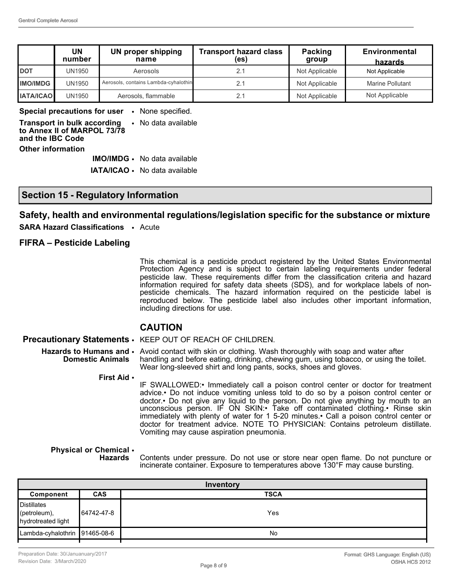|                  | UN<br>number | <b>UN proper shipping</b><br>name    | <b>Transport hazard class</b><br>(es) | Packing<br>group | <b>Environmental</b><br>hazards |
|------------------|--------------|--------------------------------------|---------------------------------------|------------------|---------------------------------|
| <b>DOT</b>       | UN1950       | Aerosols                             | 2.1                                   | Not Applicable   | Not Applicable                  |
| <b>IMO/IMDG</b>  | UN1950       | Aerosols, contains Lambda-cyhalothin | 2.1                                   | Not Applicable   | <b>Marine Pollutant</b>         |
| <b>IATA/ICAO</b> | UN1950       | Aerosols, flammable                  | 2.1                                   | Not Applicable   | Not Applicable                  |

**Special precautions for user** • None specified.

**Transport in bulk according to Annex II of MARPOL 73/78 and the IBC Code** • No data available **Other information**

**IMO/IMDG** • No data available

**IATA/ICAO** • No data available

#### **Section 15 - Regulatory Information**

#### **Safety, health and environmental regulations/legislation specific for the substance or mixture**

**SARA Hazard Classifications** • Acute

#### **FIFRA – Pesticide Labeling**

This chemical is a pesticide product registered by the United States Environmental Protection Agency and is subject to certain labeling requirements under federal pesticide law. These requirements differ from the classification criteria and hazard information required for safety data sheets (SDS), and for workplace labels of nonpesticide chemicals. The hazard information required on the pesticide label is reproduced below. The pesticide label also includes other important information, including directions for use.

#### **CAUTION**

**Precautionary Statements** • KEEP OUT OF REACH OF CHILDREN.

- **Hazards to Humans and Domestic Animals** • Avoid contact with skin or clothing. Wash thoroughly with soap and water after handling and before eating, drinking, chewing gum, using tobacco, or using the toilet. Wear long-sleeved shirt and long pants, socks, shoes and gloves.
	- **First Aid** •

IF SWALLOWED:• Immediately call a poison control center or doctor for treatment advice.• Do not induce vomiting unless told to do so by a poison control center or doctor.• Do not give any liquid to the person. Do not give anything by mouth to an unconscious person. IF ON SKIN:• Take off contaminated clothing.• Rinse skin immediately with plenty of water for 1 5-20 minutes.• Call a poison control center or doctor for treatment advice. NOTE TO PHYSICIAN: Contains petroleum distillate. Vomiting may cause aspiration pneumonia.

#### **Physical or Chemical**  • **Hazards**

Contents under pressure. Do not use or store near open flame. Do not puncture or incinerate container. Exposure to temperatures above 130°F may cause bursting.

| Inventory                     |             |  |  |
|-------------------------------|-------------|--|--|
| <b>CAS</b>                    | <b>TSCA</b> |  |  |
| 64742-47-8                    | Yes         |  |  |
| Lambda-cyhalothrin 91465-08-6 | <b>No</b>   |  |  |
|                               |             |  |  |